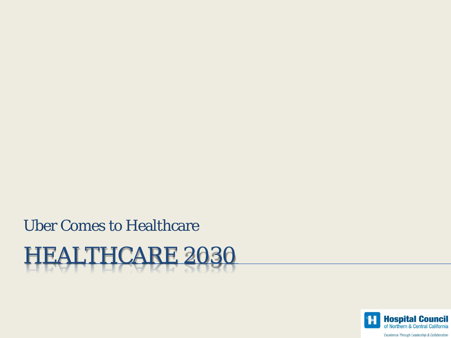Uber Comes to Healthcare

HEALTHCARE 2030

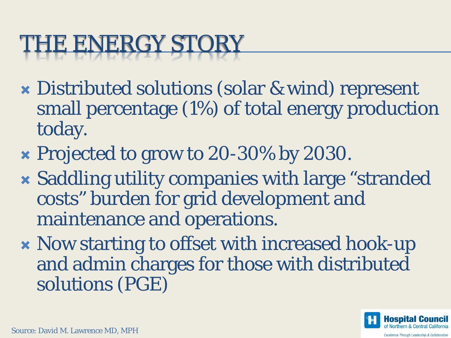### THE ENERGY STORY

- Distributed solutions (solar & wind) represent small percentage (1%) of total energy production today.
- **\* Projected to grow to 20-30% by 2030.**
- Saddling utility companies with large "stranded costs" burden for grid development and maintenance and operations.
- Now starting to offset with increased hook-up and admin charges for those with distributed solutions (PGE)

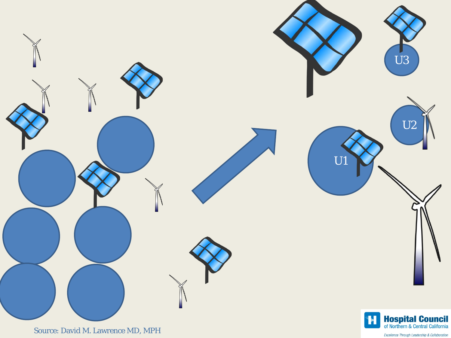

Source: David M. Lawrence MD, MPH

Excellence Through Leadership & Collaboration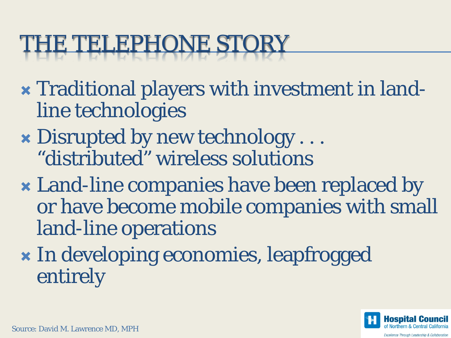### THE TELEPHONE STORY

- Traditional players with investment in landline technologies
- Disrupted by new technology . . . "distributed" wireless solutions
- Land-line companies have been replaced by or have become mobile companies with small land-line operations
- **\*** In developing economies, leapfrogged entirely

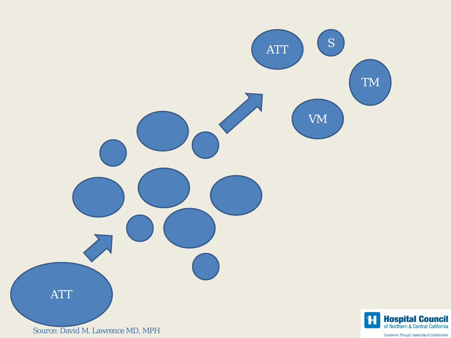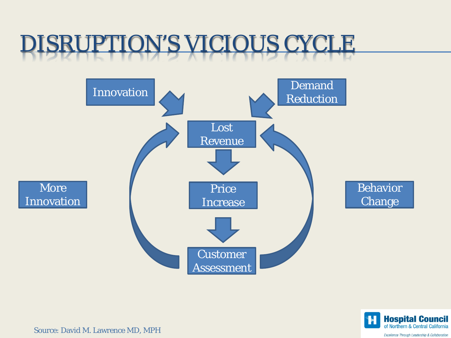#### DISRUPTION'S VICIOUS CYCLE





Source: David M. Lawrence MD, MPH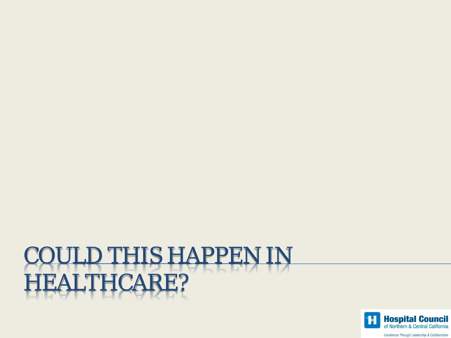# COULD THIS HAPPEN IN HEALTHCARE?



Excellence Through Leadership & Collaboration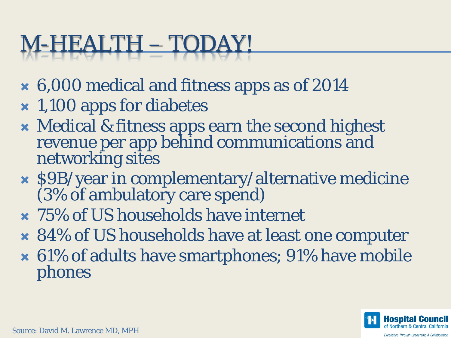# M-HEALTH – TODAY!

- 6,000 medical and fitness apps as of 2014
- 1,100 apps for diabetes
- Medical & fitness apps earn the second highest revenue per app behind communications and networking sites
- \$9B/year in complementary/alternative medicine (3% of ambulatory care spend)
- 75% of US households have internet
- 84% of US households have at least one computer
- 61% of adults have smartphones; 91% have mobile phones

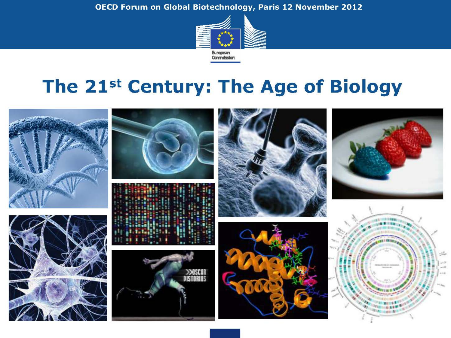OECD Forum on Global Biotechnology, Paris 12 November 2012



#### The 21st Century: The Age of Biology

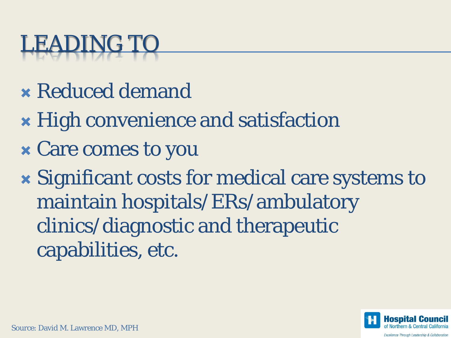# LEADING TO

- Reduced demand
- High convenience and satisfaction
- Care comes to you
- Significant costs for medical care systems to maintain hospitals/ERs/ambulatory clinics/diagnostic and therapeutic capabilities, etc.

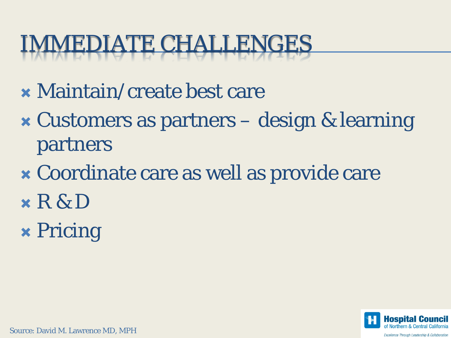## IMMEDIATE CHALLENGES

- Maintain/create best care
- Customers as partners design & learning partners
- Coordinate care as well as provide care
- $x R & D$
- Pricing



Source: David M. Lawrence MD, MPH